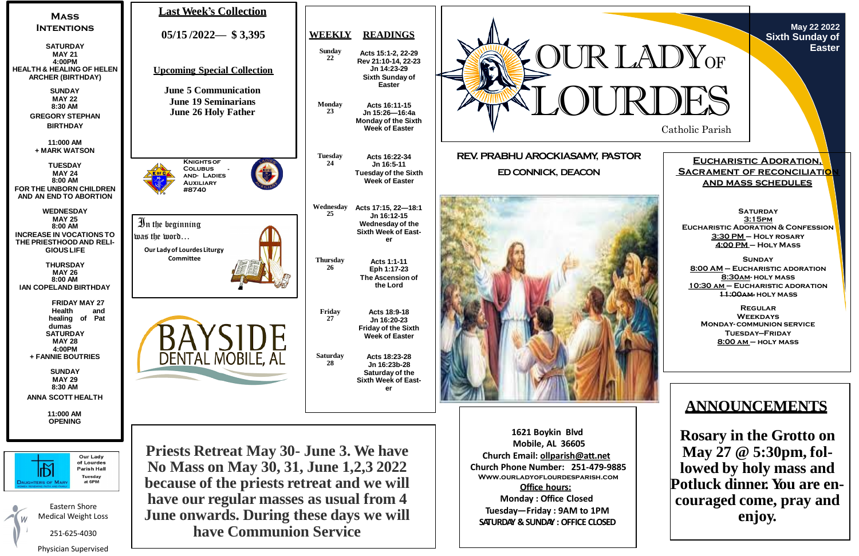Catholic Parish

**May 22 2022 Sixth Sunday of Easter**

**Eucharistic Adoration, SACRAMENT OF RECONCILIATIO and mass schedules**

**SATURDAY 3:15pm Eucharistic Adoration & Confession 3:30 PM – Holy rosary 4:00 PM – Holy Mass**

**Sunday 8:00 AM – Eucharistic adoration 8:30am- holy mass 10:30 am – Eucharistic adoration 11:00am- holy mass**

**Regular Weekdays Monday- communion service Tuesday—Friday 8:00 am – holy mass**



## **ANNOUNCEMENTS**

**Rosary in the Grotto on May 27 @ 5:30pm, followed by holy mass and Potluck dinner. You are encouraged come, pray and enjoy.**